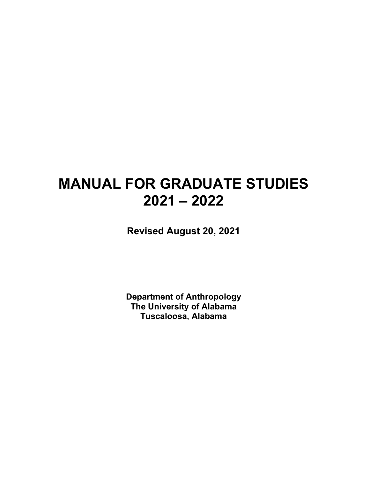# **MANUAL FOR GRADUATE STUDIES 2021 – 2022**

**Revised August 20, 2021**

**Department of Anthropology The University of Alabama Tuscaloosa, Alabama**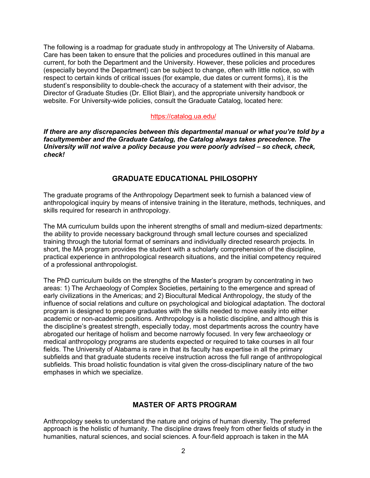The following is a roadmap for graduate study in anthropology at The University of Alabama. Care has been taken to ensure that the policies and procedures outlined in this manual are current, for both the Department and the University. However, these policies and procedures (especially beyond the Department) can be subject to change, often with little notice, so with respect to certain kinds of critical issues (for example, due dates or current forms), it is the student's responsibility to double-check the accuracy of a statement with their advisor, the Director of Graduate Studies (Dr. Elliot Blair), and the appropriate university handbook or website. For University-wide policies, consult the Graduate Catalog, located here:

#### <https://catalog.ua.edu/>

*If there are any discrepancies between this departmental manual or what you're told by a facultymember and the Graduate Catalog, the Catalog always takes precedence. The University will not waive a policy because you were poorly advised – so check, check, check!*

## **GRADUATE EDUCATIONAL PHILOSOPHY**

The graduate programs of the Anthropology Department seek to furnish a balanced view of anthropological inquiry by means of intensive training in the literature, methods, techniques, and skills required for research in anthropology.

The MA curriculum builds upon the inherent strengths of small and medium-sized departments: the ability to provide necessary background through small lecture courses and specialized training through the tutorial format of seminars and individually directed research projects. In short, the MA program provides the student with a scholarly comprehension of the discipline, practical experience in anthropological research situations, and the initial competency required of a professional anthropologist.

The PhD curriculum builds on the strengths of the Master's program by concentrating in two areas: 1) The Archaeology of Complex Societies, pertaining to the emergence and spread of early civilizations in the Americas; and 2) Biocultural Medical Anthropology, the study of the influence of social relations and culture on psychological and biological adaptation. The doctoral program is designed to prepare graduates with the skills needed to move easily into either academic or non-academic positions. Anthropology is a holistic discipline, and although this is the discipline's greatest strength, especially today, most departments across the country have abrogated our heritage of holism and become narrowly focused. In very few archaeology or medical anthropology programs are students expected or required to take courses in all four fields. The University of Alabama is rare in that its faculty has expertise in all the primary subfields and that graduate students receive instruction across the full range of anthropological subfields. This broad holistic foundation is vital given the cross-disciplinary nature of the two emphases in which we specialize.

## **MASTER OF ARTS PROGRAM**

Anthropology seeks to understand the nature and origins of human diversity. The preferred approach is the holistic of humanity. The discipline draws freely from other fields of study in the humanities, natural sciences, and social sciences. A four-field approach is taken in the MA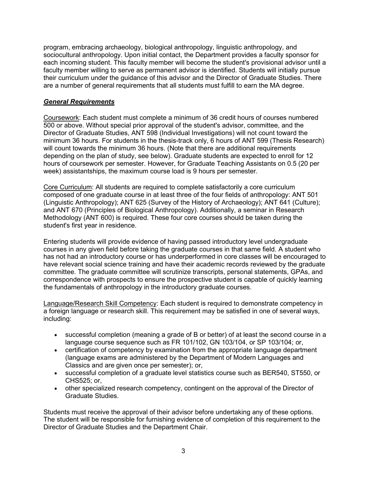program, embracing archaeology, biological anthropology, linguistic anthropology, and sociocultural anthropology. Upon initial contact, the Department provides a faculty sponsor for each incoming student. This faculty member will become the student's provisional advisor until a faculty member willing to serve as permanent advisor is identified. Students will initially pursue their curriculum under the guidance of this advisor and the Director of Graduate Studies. There are a number of general requirements that all students must fulfill to earn the MA degree.

## *General Requirements*

Coursework: Each student must complete a minimum of 36 credit hours of courses numbered 500 or above. Without special prior approval of the student's advisor, committee, and the Director of Graduate Studies, ANT 598 (Individual Investigations) will not count toward the minimum 36 hours. For students in the thesis-track only, 6 hours of ANT 599 (Thesis Research) will count towards the minimum 36 hours. (Note that there are additional requirements depending on the plan of study, see below). Graduate students are expected to enroll for 12 hours of coursework per semester. However, for Graduate Teaching Assistants on 0.5 (20 per week) assistantships, the maximum course load is 9 hours per semester.

Core Curriculum: All students are required to complete satisfactorily a core curriculum composed of one graduate course in at least three of the four fields of anthropology: ANT 501 (Linguistic Anthropology); ANT 625 (Survey of the History of Archaeology); ANT 641 (Culture); and ANT 670 (Principles of Biological Anthropology). Additionally, a seminar in Research Methodology (ANT 600) is required. These four core courses should be taken during the student's first year in residence.

Entering students will provide evidence of having passed introductory level undergraduate courses in any given field before taking the graduate courses in that same field. A student who has not had an introductory course or has underperformed in core classes will be encouraged to have relevant social science training and have their academic records reviewed by the graduate committee. The graduate committee will scrutinize transcripts, personal statements, GPAs, and correspondence with prospects to ensure the prospective student is capable of quickly learning the fundamentals of anthropology in the introductory graduate courses.

Language/Research Skill Competency: Each student is required to demonstrate competency in a foreign language or research skill. This requirement may be satisfied in one of several ways, including:

- successful completion (meaning a grade of B or better) of at least the second course in a language course sequence such as FR 101/102, GN 103/104, or SP 103/104; or,
- certification of competency by examination from the appropriate language department (language exams are administered by the Department of Modern Languages and Classics and are given once per semester); or,
- successful completion of a graduate level statistics course such as BER540, ST550, or CHS525; or,
- other specialized research competency, contingent on the approval of the Director of Graduate Studies.

Students must receive the approval of their advisor before undertaking any of these options. The student will be responsible for furnishing evidence of completion of this requirement to the Director of Graduate Studies and the Department Chair.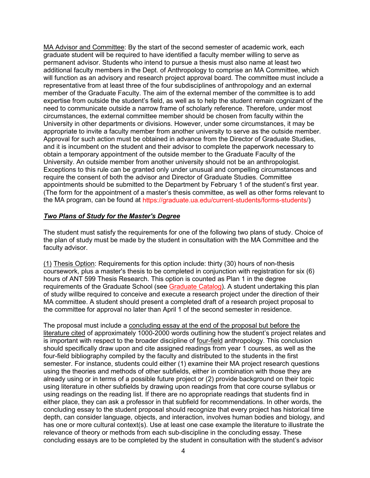MA Advisor and Committee: By the start of the second semester of academic work, each graduate student will be required to have identified a faculty member willing to serve as permanent advisor. Students who intend to pursue a thesis must also name at least two additional faculty members in the Dept. of Anthropology to comprise an MA Committee, which will function as an advisory and research project approval board. The committee must include a representative from at least three of the four subdisciplines of anthropology and an external member of the Graduate Faculty. The aim of the external member of the committee is to add expertise from outside the student's field, as well as to help the student remain cognizant of the need to communicate outside a narrow frame of scholarly reference. Therefore, under most circumstances, the external committee member should be chosen from faculty within the University in other departments or divisions. However, under some circumstances, it may be appropriate to invite a faculty member from another university to serve as the outside member. Approval for such action must be obtained in advance from the Director of Graduate Studies, and it is incumbent on the student and their advisor to complete the paperwork necessary to obtain a temporary appointment of the outside member to the Graduate Faculty of the University. An outside member from another university should not be an anthropologist. Exceptions to this rule can be granted only under unusual and compelling circumstances and require the consent of both the advisor and Director of Graduate Studies. Committee appointments should be submitted to the Department by February 1 of the student's first year. (The form for the appointment of a master's thesis committee, as well as other forms relevant to the MA program, can be found at [https://graduate.ua.edu/current-students/forms-students/\)](https://graduate.ua.edu/current-students/forms-students/)

#### *Two Plans of Study for the Master's Degree*

The student must satisfy the requirements for one of the following two plans of study. Choice of the plan of study must be made by the student in consultation with the MA Committee and the faculty advisor.

(1) Thesis Option: Requirements for this option include: thirty (30) hours of non-thesis coursework, plus a master's thesis to be completed in conjunction with registration for six (6) hours of ANT 599 Thesis Research. This option is counted as Plan 1 in the degree requirements of the Graduate School (see [Graduate Catalog\)](https://catalog.ua.edu/). A student undertaking this plan of study willbe required to conceive and execute a research project under the direction of their MA committee. A student should present a completed draft of a research project proposal to the committee for approval no later than April 1 of the second semester in residence.

The proposal must include a concluding essay at the end of the proposal but before the literature cited of approximately 1000-2000 words outlining how the student's project relates and is important with respect to the broader discipline of four-field anthropology. This conclusion should specifically draw upon and cite assigned readings from year 1 courses, as well as the four-field bibliography compiled by the faculty and distributed to the students in the first semester. For instance, students could either (1) examine their MA project research questions using the theories and methods of other subfields, either in combination with those they are already using or in terms of a possible future project or (2) provide background on their topic using literature in other subfields by drawing upon readings from that core course syllabus or using readings on the reading list. If there are no appropriate readings that students find in either place, they can ask a professor in that subfield for recommendations. In other words, the concluding essay to the student proposal should recognize that every project has historical time depth, can consider language, objects, and interaction, involves human bodies and biology, and has one or more cultural context(s). Use at least one case example the literature to illustrate the relevance of theory or methods from each sub-discipline in the concluding essay. These concluding essays are to be completed by the student in consultation with the student's advisor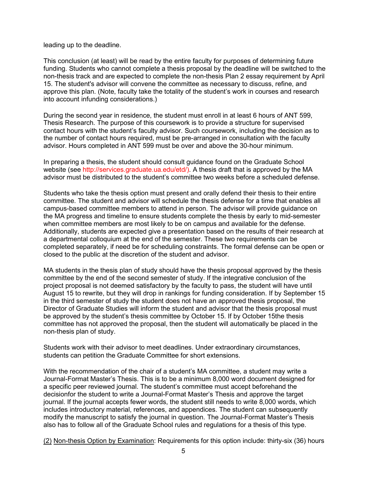leading up to the deadline.

This conclusion (at least) will be read by the entire faculty for purposes of determining future funding. Students who cannot complete a thesis proposal by the deadline will be switched to the non-thesis track and are expected to complete the non-thesis Plan 2 essay requirement by April 15. The student's advisor will convene the committee as necessary to discuss, refine, and approve this plan. (Note, faculty take the totality of the student's work in courses and research into account infunding considerations.)

During the second year in residence, the student must enroll in at least 6 hours of ANT 599, Thesis Research. The purpose of this coursework is to provide a structure for supervised contact hours with the student's faculty advisor. Such coursework, including the decision as to the number of contact hours required, must be pre-arranged in consultation with the faculty advisor. Hours completed in ANT 599 must be over and above the 30-hour minimum.

In preparing a thesis, the student should consult guidance found on the Graduate School website (see [http://services.graduate.ua.edu/etd/\).](http://services.graduate.ua.edu/etd/)) A thesis draft that is approved by the MA advisor must be distributed to the student's committee two weeks before a scheduled defense.

Students who take the thesis option must present and orally defend their thesis to their entire committee. The student and advisor will schedule the thesis defense for a time that enables all campus-based committee members to attend in person. The advisor will provide guidance on the MA progress and timeline to ensure students complete the thesis by early to mid-semester when committee members are most likely to be on campus and available for the defense. Additionally, students are expected give a presentation based on the results of their research at a departmental colloquium at the end of the semester. These two requirements can be completed separately, if need be for scheduling constraints. The formal defense can be open or closed to the public at the discretion of the student and advisor.

MA students in the thesis plan of study should have the thesis proposal approved by the thesis committee by the end of the second semester of study. If the integrative conclusion of the project proposal is not deemed satisfactory by the faculty to pass, the student will have until August 15 to rewrite, but they will drop in rankings for funding consideration. If by September 15 in the third semester of study the student does not have an approved thesis proposal, the Director of Graduate Studies will inform the student and advisor that the thesis proposal must be approved by the student's thesis committee by October 15. If by October 15the thesis committee has not approved the proposal, then the student will automatically be placed in the non-thesis plan of study.

Students work with their advisor to meet deadlines. Under extraordinary circumstances, students can petition the Graduate Committee for short extensions.

With the recommendation of the chair of a student's MA committee, a student may write a Journal-Format Master's Thesis. This is to be a minimum 8,000 word document designed for a specific peer reviewed journal. The student's committee must accept beforehand the decisionfor the student to write a Journal-Format Master's Thesis and approve the target journal. If the journal accepts fewer words, the student still needs to write 8,000 words, which includes introductory material, references, and appendices. The student can subsequently modify the manuscript to satisfy the journal in question. The Journal-Format Master's Thesis also has to follow all of the Graduate School rules and regulations for a thesis of this type.

(2) Non-thesis Option by Examination: Requirements for this option include: thirty-six (36) hours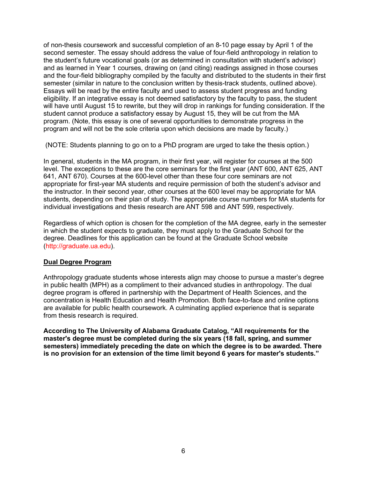of non-thesis coursework and successful completion of an 8-10 page essay by April 1 of the second semester. The essay should address the value of four-field anthropology in relation to the student's future vocational goals (or as determined in consultation with student's advisor) and as learned in Year 1 courses, drawing on (and citing) readings assigned in those courses and the four-field bibliography compiled by the faculty and distributed to the students in their first semester (similar in nature to the conclusion written by thesis-track students, outlined above). Essays will be read by the entire faculty and used to assess student progress and funding eligibility. If an integrative essay is not deemed satisfactory by the faculty to pass, the student will have until August 15 to rewrite, but they will drop in rankings for funding consideration. If the student cannot produce a satisfactory essay by August 15, they will be cut from the MA program. (Note, this essay is one of several opportunities to demonstrate progress in the program and will not be the sole criteria upon which decisions are made by faculty.)

(NOTE: Students planning to go on to a PhD program are urged to take the thesis option.)

In general, students in the MA program, in their first year, will register for courses at the 500 level. The exceptions to these are the core seminars for the first year (ANT 600, ANT 625, ANT 641, ANT 670). Courses at the 600-level other than these four core seminars are not appropriate for first-year MA students and require permission of both the student's advisor and the instructor. In their second year, other courses at the 600 level may be appropriate for MA students, depending on their plan of study. The appropriate course numbers for MA students for individual investigations and thesis research are ANT 598 and ANT 599, respectively.

Regardless of which option is chosen for the completion of the MA degree, early in the semester in which the student expects to graduate, they must apply to the Graduate School for the degree. Deadlines for this application can be found at the Graduate School website [\(http://graduate.ua.edu\)](http://graduate.ua.edu/).

#### **Dual Degree Program**

Anthropology graduate students whose interests align may choose to pursue a master's degree in public health (MPH) as a compliment to their advanced studies in anthropology. The dual degree program is offered in partnership with the Department of Health Sciences, and the concentration is Health Education and Health Promotion. Both face-to-face and online options are available for public health coursework. A culminating applied experience that is separate from thesis research is required.

**According to The University of Alabama Graduate Catalog, "All requirements for the master's degree must be completed during the six years (18 fall, spring, and summer semesters) immediately preceding the date on which the degree is to be awarded. There is no provision for an extension of the time limit beyond 6 years for master's students."**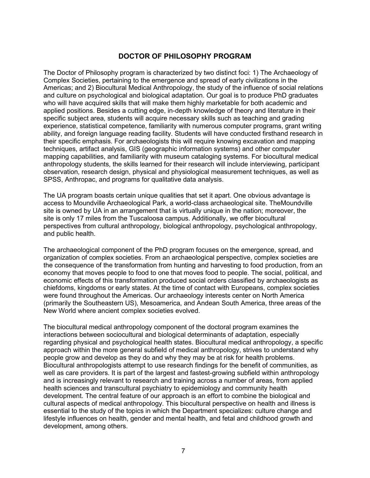# **DOCTOR OF PHILOSOPHY PROGRAM**

The Doctor of Philosophy program is characterized by two distinct foci: 1) The Archaeology of Complex Societies, pertaining to the emergence and spread of early civilizations in the Americas; and 2) Biocultural Medical Anthropology, the study of the influence of social relations and culture on psychological and biological adaptation. Our goal is to produce PhD graduates who will have acquired skills that will make them highly marketable for both academic and applied positions. Besides a cutting edge, in-depth knowledge of theory and literature in their specific subject area, students will acquire necessary skills such as teaching and grading experience, statistical competence, familiarity with numerous computer programs, grant writing ability, and foreign language reading facility. Students will have conducted firsthand research in their specific emphasis. For archaeologists this will require knowing excavation and mapping techniques, artifact analysis, GIS (geographic information systems) and other computer mapping capabilities, and familiarity with museum cataloging systems. For biocultural medical anthropology students, the skills learned for their research will include interviewing, participant observation, research design, physical and physiological measurement techniques, as well as SPSS, Anthropac, and programs for qualitative data analysis.

The UA program boasts certain unique qualities that set it apart. One obvious advantage is access to Moundville Archaeological Park, a world-class archaeological site. TheMoundville site is owned by UA in an arrangement that is virtually unique in the nation; moreover, the site is only 17 miles from the Tuscaloosa campus. Additionally, we offer biocultural perspectives from cultural anthropology, biological anthropology, psychological anthropology, and public health.

The archaeological component of the PhD program focuses on the emergence, spread, and organization of complex societies. From an archaeological perspective, complex societies are the consequence of the transformation from hunting and harvesting to food production, from an economy that moves people to food to one that moves food to people. The social, political, and economic effects of this transformation produced social orders classified by archaeologists as chiefdoms, kingdoms or early states. At the time of contact with Europeans, complex societies were found throughout the Americas. Our archaeology interests center on North America (primarily the Southeastern US), Mesoamerica, and Andean South America, three areas of the New World where ancient complex societies evolved.

The biocultural medical anthropology component of the doctoral program examines the interactions between sociocultural and biological determinants of adaptation, especially regarding physical and psychological health states. Biocultural medical anthropology, a specific approach within the more general subfield of medical anthropology, strives to understand why people grow and develop as they do and why they may be at risk for health problems. Biocultural anthropologists attempt to use research findings for the benefit of communities, as well as care providers. It is part of the largest and fastest-growing subfield within anthropology and is increasingly relevant to research and training across a number of areas, from applied health sciences and transcultural psychiatry to epidemiology and community health development. The central feature of our approach is an effort to combine the biological and cultural aspects of medical anthropology. This biocultural perspective on health and illness is essential to the study of the topics in which the Department specializes: culture change and lifestyle influences on health, gender and mental health, and fetal and childhood growth and development, among others.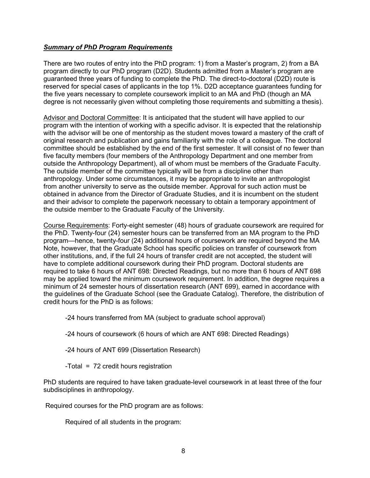#### *Summary of PhD Program Requirements*

There are two routes of entry into the PhD program: 1) from a Master's program, 2) from a BA program directly to our PhD program (D2D). Students admitted from a Master's program are guaranteed three years of funding to complete the PhD. The direct-to-doctoral (D2D) route is reserved for special cases of applicants in the top 1%. D2D acceptance guarantees funding for the five years necessary to complete coursework implicit to an MA and PhD (though an MA degree is not necessarily given without completing those requirements and submitting a thesis).

Advisor and Doctoral Committee: It is anticipated that the student will have applied to our program with the intention of working with a specific advisor. It is expected that the relationship with the advisor will be one of mentorship as the student moves toward a mastery of the craft of original research and publication and gains familiarity with the role of a colleague. The doctoral committee should be established by the end of the first semester. It will consist of no fewer than five faculty members (four members of the Anthropology Department and one member from outside the Anthropology Department), all of whom must be members of the Graduate Faculty. The outside member of the committee typically will be from a discipline other than anthropology. Under some circumstances, it may be appropriate to invite an anthropologist from another university to serve as the outside member. Approval for such action must be obtained in advance from the Director of Graduate Studies, and it is incumbent on the student and their advisor to complete the paperwork necessary to obtain a temporary appointment of the outside member to the Graduate Faculty of the University.

Course Requirements: Forty-eight semester (48) hours of graduate coursework are required for the PhD. Twenty-four (24) semester hours can be transferred from an MA program to the PhD program—hence, twenty-four (24) additional hours of coursework are required beyond the MA Note, however, that the Graduate School has specific policies on transfer of coursework from other institutions, and, if the full 24 hours of transfer credit are not accepted, the student will have to complete additional coursework during their PhD program. Doctoral students are required to take 6 hours of ANT 698: Directed Readings, but no more than 6 hours of ANT 698 may be applied toward the minimum coursework requirement. In addition, the degree requires a minimum of 24 semester hours of dissertation research (ANT 699), earned in accordance with the guidelines of the Graduate School (see the Graduate Catalog). Therefore, the distribution of credit hours for the PhD is as follows:

-24 hours transferred from MA (subject to graduate school approval)

-24 hours of coursework (6 hours of which are ANT 698: Directed Readings)

-24 hours of ANT 699 (Dissertation Research)

-Total = 72 credit hours registration

PhD students are required to have taken graduate-level coursework in at least three of the four subdisciplines in anthropology.

Required courses for the PhD program are as follows:

Required of all students in the program: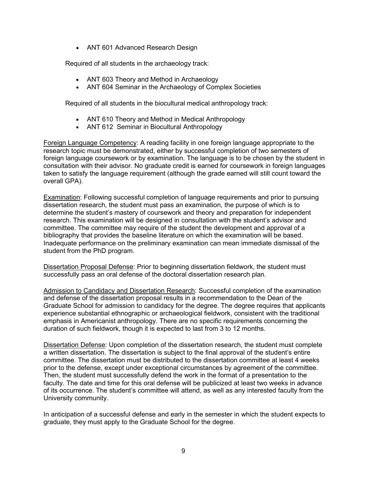• ANT 601 Advanced Research Design

Required of all students in the archaeology track:

- ANT 603 Theory and Method in Archaeology
- ANT 604 Seminar in the Archaeology of Complex Societies

Required of all students in the biocultural medical anthropology track:

- ANT 610 Theory and Method in Medical Anthropology
- ANT 612 Seminar in Biocultural Anthropology

Foreign Language Competency: A reading facility in one foreign language appropriate to the research topic must be demonstrated, either by successful completion of two semesters of foreign language coursework or by examination. The language is to be chosen by the student in consultation with their advisor. No graduate credit is earned for coursework in foreign languages taken to satisfy the language requirement (although the grade earned will still count toward the overall GPA).

Examination: Following successful completion of language requirements and prior to pursuing dissertation research, the student must pass an examination, the purpose of which is to determine the student's mastery of coursework and theory and preparation for independent research. This examination will be designed in consultation with the student's advisor and committee. The committee may require of the student the development and approval of a bibliography that provides the baseline literature on which the examination will be based. Inadequate performance on the preliminary examination can mean immediate dismissal of the student from the PhD program.

Dissertation Proposal Defense: Prior to beginning dissertation fieldwork, the student must successfully pass an oral defense of the doctoral dissertation research plan.

Admission to Candidacy and Dissertation Research: Successful completion of the examination and defense of the dissertation proposal results in a recommendation to the Dean of the Graduate School for admission to candidacy for the degree. The degree requires that applicants experience substantial ethnographic or archaeological fieldwork, consistent with the traditional emphasis in Americanist anthropology. There are no specific requirements concerning the duration of such fieldwork, though it is expected to last from 3 to 12 months.

Dissertation Defense: Upon completion of the dissertation research, the student must complete a written dissertation. The dissertation is subject to the final approval of the student's entire committee. The dissertation must be distributed to the dissertation committee at least 4 weeks prior to the defense, except under exceptional circumstances by agreement of the committee. Then, the student must successfully defend the work in the format of a presentation to the faculty. The date and time for this oral defense will be publicized at least two weeks in advance of its occurrence. The student's committee will attend, as well as any interested faculty from the University community.

In anticipation of a successful defense and early in the semester in which the student expects to graduate, they must apply to the Graduate School for the degree.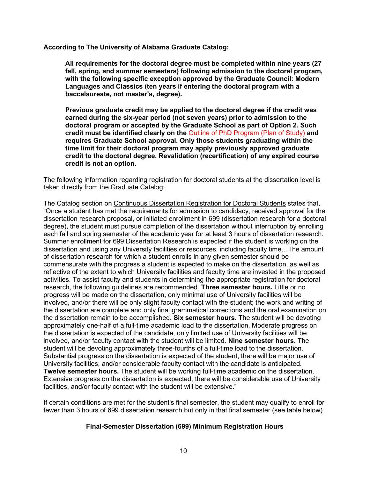**According to The University of Alabama Graduate Catalog:**

**All requirements for the doctoral degree must be completed within nine years (27 fall, spring, and summer semesters) following admission to the doctoral program, with the following specific exception approved by the Graduate Council: Modern Languages and Classics (ten years if entering the doctoral program with a baccalaureate, not master's, degree).**

**Previous graduate credit may be applied to the doctoral degree if the credit was earned during the six-year period (not seven years) prior to admission to the doctoral program or accepted by the Graduate School as part of Option 2. Such credit must be identified clearly on the** [Outline of PhD Program \(Plan of Study\)](http://services.graduate.ua.edu/academics/forms/outline_phd.pdf) **and requires Graduate School approval. Only those students graduating within the time limit for their doctoral program may apply previously approved graduate credit to the doctoral degree. Revalidation (recertification) of any expired course credit is not an option.**

The following information regarding registration for doctoral students at the dissertation level is taken directly from the Graduate Catalog:

The Catalog section on Continuous Dissertation Registration for Doctoral Students states that, "Once a student has met the requirements for admission to candidacy, received approval for the dissertation research proposal, or initiated enrollment in 699 (dissertation research for a doctoral degree), the student must pursue completion of the dissertation without interruption by enrolling each fall and spring semester of the academic year for at least 3 hours of dissertation research. Summer enrollment for 699 Dissertation Research is expected if the student is working on the dissertation and using any University facilities or resources, including faculty time…The amount of dissertation research for which a student enrolls in any given semester should be commensurate with the progress a student is expected to make on the dissertation, as well as reflective of the extent to which University facilities and faculty time are invested in the proposed activities. To assist faculty and students in determining the appropriate registration for doctoral research, the following guidelines are recommended. **Three semester hours.** Little or no progress will be made on the dissertation, only minimal use of University facilities will be involved, and/or there will be only slight faculty contact with the student; the work and writing of the dissertation are complete and only final grammatical corrections and the oral examination on the dissertation remain to be accomplished. **Six semester hours.** The student will be devoting approximately one-half of a full-time academic load to the dissertation. Moderate progress on the dissertation is expected of the candidate, only limited use of University facilities will be involved, and/or faculty contact with the student will be limited. **Nine semester hours.** The student will be devoting approximately three-fourths of a full-time load to the dissertation. Substantial progress on the dissertation is expected of the student, there will be major use of University facilities, and/or considerable faculty contact with the candidate is anticipated. **Twelve semester hours.** The student will be working full-time academic on the dissertation. Extensive progress on the dissertation is expected, there will be considerable use of University facilities, and/or faculty contact with the student will be extensive."

If certain conditions are met for the student's final semester, the student may qualify to enroll for fewer than 3 hours of 699 dissertation research but only in that final semester (see table below).

#### **Final-Semester Dissertation (699) Minimum Registration Hours**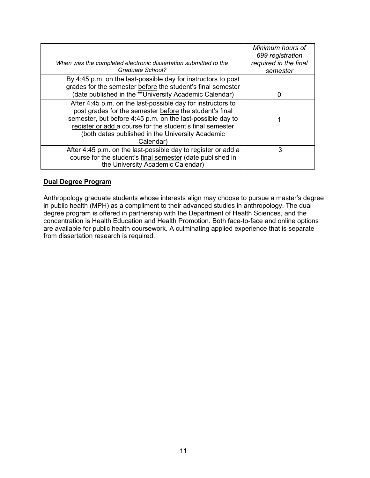| When was the completed electronic dissertation submitted to the<br>Graduate School?                                                                                                                                                                                                                                | Minimum hours of<br>699 registration<br>required in the final<br>semester |
|--------------------------------------------------------------------------------------------------------------------------------------------------------------------------------------------------------------------------------------------------------------------------------------------------------------------|---------------------------------------------------------------------------|
| By 4:45 p.m. on the last-possible day for instructors to post<br>grades for the semester before the student's final semester<br>(date published in the **University Academic Calendar)                                                                                                                             |                                                                           |
| After 4:45 p.m. on the last-possible day for instructors to<br>post grades for the semester before the student's final<br>semester, but before 4:45 p.m. on the last-possible day to<br>register or add a course for the student's final semester<br>(both dates published in the University Academic<br>Calendar) |                                                                           |
| After 4:45 p.m. on the last-possible day to register or add a<br>course for the student's final semester (date published in<br>the University Academic Calendar)                                                                                                                                                   | 3                                                                         |

#### **Dual Degree Program**

Anthropology graduate students whose interests align may choose to pursue a master's degree in public health (MPH) as a compliment to their advanced studies in anthropology. The dual degree program is offered in partnership with the Department of Health Sciences, and the concentration is Health Education and Health Promotion. Both face-to-face and online options are available for public health coursework. A culminating applied experience that is separate from dissertation research is required.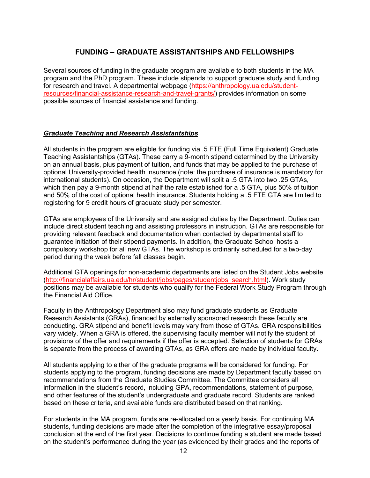# **FUNDING – GRADUATE ASSISTANTSHIPS AND FELLOWSHIPS**

Several sources of funding in the graduate program are available to both students in the MA program and the PhD program. These include stipends to support graduate study and funding for research and travel. A departmental webpage [\(https://anthropology.ua.edu/student](https://anthropology.ua.edu/student-resources/financial-assistance-research-and-travel-grants/)[resources/financial-assistance-research-and-travel-grants/\)](https://anthropology.ua.edu/student-resources/financial-assistance-research-and-travel-grants/) provides information on some possible sources of financial assistance and funding.

#### *Graduate Teaching and Research Assistantships*

All students in the program are eligible for funding via .5 FTE (Full Time Equivalent) Graduate Teaching Assistantships (GTAs). These carry a 9-month stipend determined by the University on an annual basis, plus payment of tuition, and funds that may be applied to the purchase of optional University-provided health insurance (note: the purchase of insurance is mandatory for international students). On occasion, the Department will split a .5 GTA into two .25 GTAs, which then pay a 9-month stipend at half the rate established for a .5 GTA, plus 50% of tuition and 50% of the cost of optional health insurance. Students holding a .5 FTE GTA are limited to registering for 9 credit hours of graduate study per semester.

GTAs are employees of the University and are assigned duties by the Department. Duties can include direct student teaching and assisting professors in instruction. GTAs are responsible for providing relevant feedback and documentation when contacted by departmental staff to guarantee initiation of their stipend payments. In addition, the Graduate School hosts a compulsory workshop for all new GTAs. The workshop is ordinarily scheduled for a two-day period during the week before fall classes begin.

Additional GTA openings for non-academic departments are listed on the Student Jobs website [\(http://financialaffairs.ua.edu/hr/student/jobs/pages/studentjobs\\_search.html\)](http://financialaffairs.ua.edu/hr/student/jobs/pages/studentjobs_search.html). Work study positions may be available for students who qualify for the Federal Work Study Program through the Financial Aid Office.

Faculty in the Anthropology Department also may fund graduate students as Graduate Research Assistants (GRAs), financed by externally sponsored research these faculty are conducting. GRA stipend and benefit levels may vary from those of GTAs. GRA responsibilities vary widely. When a GRA is offered, the supervising faculty member will notify the student of provisions of the offer and requirements if the offer is accepted. Selection of students for GRAs is separate from the process of awarding GTAs, as GRA offers are made by individual faculty.

All students applying to either of the graduate programs will be considered for funding. For students applying to the program, funding decisions are made by Department faculty based on recommendations from the Graduate Studies Committee. The Committee considers all information in the student's record, including GPA, recommendations, statement of purpose, and other features of the student's undergraduate and graduate record. Students are ranked based on these criteria, and available funds are distributed based on that ranking.

For students in the MA program, funds are re-allocated on a yearly basis. For continuing MA students, funding decisions are made after the completion of the integrative essay/proposal conclusion at the end of the first year. Decisions to continue funding a student are made based on the student's performance during the year (as evidenced by their grades and the reports of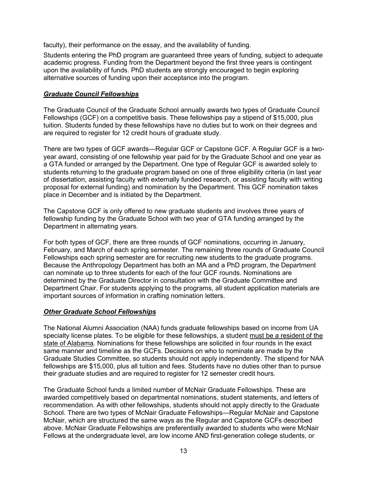faculty), their performance on the essay, and the availability of funding.

Students entering the PhD program are guaranteed three years of funding, subject to adequate academic progress. Funding from the Department beyond the first three years is contingent upon the availability of funds. PhD students are strongly encouraged to begin exploring alternative sources of funding upon their acceptance into the program.

#### *Graduate Council Fellowships*

The Graduate Council of the Graduate School annually awards two types of Graduate Council Fellowships (GCF) on a competitive basis. These fellowships pay a stipend of \$15,000, plus tuition. Students funded by these fellowships have no duties but to work on their degrees and are required to register for 12 credit hours of graduate study.

There are two types of GCF awards—Regular GCF or Capstone GCF. A Regular GCF is a twoyear award, consisting of one fellowship year paid for by the Graduate School and one year as a GTA funded or arranged by the Department. One type of Regular GCF is awarded solely to students returning to the graduate program based on one of three eligibility criteria (in last year of dissertation, assisting faculty with externally funded research, or assisting faculty with writing proposal for external funding) and nomination by the Department. This GCF nomination takes place in December and is initiated by the Department.

The Capstone GCF is only offered to new graduate students and involves three years of fellowship funding by the Graduate School with two year of GTA funding arranged by the Department in alternating years.

For both types of GCF, there are three rounds of GCF nominations, occurring in January, February, and March of each spring semester. The remaining three rounds of Graduate Council Fellowships each spring semester are for recruiting new students to the graduate programs. Because the Anthropology Department has both an MA and a PhD program, the Department can nominate up to three students for each of the four GCF rounds. Nominations are determined by the Graduate Director in consultation with the Graduate Committee and Department Chair. For students applying to the programs, all student application materials are important sources of information in crafting nomination letters.

#### *Other Graduate School Fellowships*

The National Alumni Association (NAA) funds graduate fellowships based on income from UA specialty license plates. To be eligible for these fellowships, a student must be a resident of the state of Alabama. Nominations for these fellowships are solicited in four rounds in the exact same manner and timeline as the GCFs. Decisions on who to nominate are made by the Graduate Studies Committee, so students should not apply independently. The stipend for NAA fellowships are \$15,000, plus all tuition and fees. Students have no duties other than to pursue their graduate studies and are required to register for 12 semester credit hours.

The Graduate School funds a limited number of McNair Graduate Fellowships. These are awarded competitively based on departmental nominations, student statements, and letters of recommendation. As with other fellowships, students should not apply directly to the Graduate School. There are two types of McNair Graduate Fellowships—Regular McNair and Capstone McNair, which are structured the same ways as the Regular and Capstone GCFs described above. McNair Graduate Fellowships are preferentially awarded to students who were McNair Fellows at the undergraduate level, are low income AND first-generation college students, or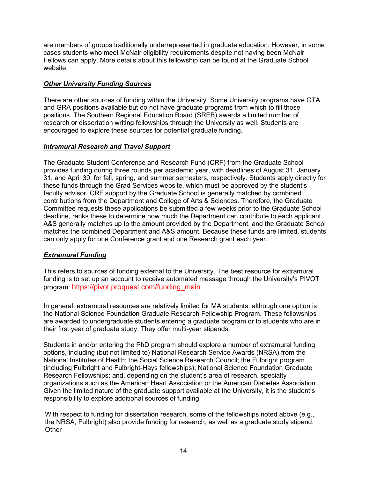are members of groups traditionally underrepresented in graduate education. However, in some cases students who meet McNair eligibility requirements despite not having been McNair Fellows can apply. More details about this fellowship can be found at the Graduate School website.

## *Other University Funding Sources*

There are other sources of funding within the University. Some University programs have GTA and GRA positions available but do not have graduate programs from which to fill those positions. The Southern Regional Education Board (SREB) awards a limited number of research or dissertation writing fellowships through the University as well. Students are encouraged to explore these sources for potential graduate funding.

## *Intramural Research and Travel Support*

The Graduate Student Conference and Research Fund (CRF) from the Graduate School provides funding during three rounds per academic year, with deadlines of August 31, January 31, and April 30, for fall, spring, and summer semesters, respectively. Students apply directly for these funds through the Grad Services website, which must be approved by the student's faculty advisor. CRF support by the Graduate School is generally matched by combined contributions from the Department and College of Arts & Sciences. Therefore, the Graduate Committee requests these applications be submitted a few weeks prior to the Graduate School deadline, ranks these to determine how much the Department can contribute to each applicant. A&S generally matches up to the amount provided by the Department, and the Graduate School matches the combined Department and A&S amount. Because these funds are limited, students can only apply for one Conference grant and one Research grant each year.

# *Extramural Funding*

This refers to sources of funding external to the University. The best resource for extramural funding is to set up an account to receive automated message through the University's PIVOT program: [https://pivot.proquest.com/funding\\_main](https://pivot.proquest.com/funding_main)

In general, extramural resources are relatively limited for MA students, although one option is the National Science Foundation Graduate Research Fellowship Program. These fellowships are awarded to undergraduate students entering a graduate program or to students who are in their first year of graduate study. They offer multi-year stipends.

Students in and/or entering the PhD program should explore a number of extramural funding options, including (but not limited to) National Research Service Awards (NRSA) from the National Institutes of Health; the Social Science Research Council; the Fulbright program (including Fulbright and Fulbright-Hays fellowships); National Science Foundation Graduate Research Fellowships; and, depending on the student's area of research, specialty organizations such as the American Heart Association or the American Diabetes Association. Given the limited nature of the graduate support available at the University, it is the student's responsibility to explore additional sources of funding.

With respect to funding for dissertation research, some of the fellowships noted above (e.g., the NRSA, Fulbright) also provide funding for research, as well as a graduate study stipend. **Other**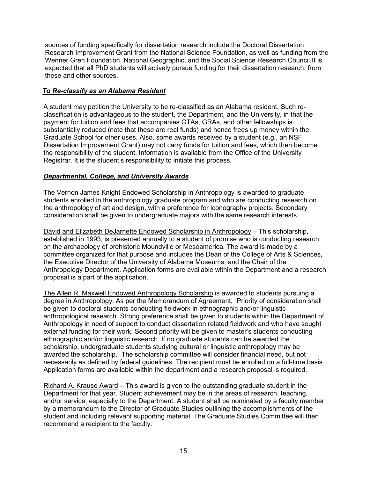sources of funding specifically for dissertation research include the Doctoral Dissertation Research Improvement Grant from the National Science Foundation, as well as funding from the Wenner Gren Foundation, National Geographic, and the Social Science Research Council.It is expected that all PhD students will actively pursue funding for their dissertation research, from these and other sources.

## *To Re-classify as an Alabama Resident*

A student may petition the University to be re-classified as an Alabama resident. Such reclassification is advantageous to the student, the Department, and the University, in that the payment for tuition and fees that accompanies GTAs, GRAs, and other fellowships is substantially reduced (note that these are real funds) and hence frees up money within the Graduate School for other uses. Also, some awards received by a student (e.g., an NSF Dissertation Improvement Grant) may not carry funds for tuition and fees, which then become the responsibility of the student. Information is available from the Office of the University Registrar. It is the student's responsibility to initiate this process.

### *Departmental, College, and University Awards*

The Vernon James Knight Endowed Scholarship in Anthropology is awarded to graduate students enrolled in the anthropology graduate program and who are conducting research on the anthropology of art and design, with a preference for iconography projects. Secondary consideration shall be given to undergraduate majors with the same research interests.

David and Elizabeth DeJarnette Endowed Scholarship in Anthropology – This scholarship, established in 1993, is presented annually to a student of promise who is conducting research on the archaeology of prehistoric Moundville or Mesoamerica. The award is made by a committee organized for that purpose and includes the Dean of the College of Arts & Sciences, the Executive Director of the University of Alabama Museums, and the Chair of the Anthropology Department. Application forms are available within the Department and a research proposal is a part of the application.

The Allen R. Maxwell Endowed Anthropology Scholarship is awarded to students pursuing a degree in Anthropology. As per the Memorandum of Agreement, "Priority of consideration shall be given to doctoral students conducting fieldwork in ethnographic and/or linguistic anthropological research. Strong preference shall be given to students within the Department of Anthropology in need of support to conduct dissertation related fieldwork and who have sought external funding for their work. Second priority will be given to master's students conducting ethnographic and/or linguistic research. If no graduate students can be awarded the scholarship, undergraduate students studying cultural or linguistic anthropology may be awarded the scholarship." The scholarship committee will consider financial need, but not necessarily as defined by federal guidelines. The recipient must be enrolled on a full-time basis. Application forms are available within the department and a research proposal is required.

Richard A. Krause Award – This award is given to the outstanding graduate student in the Department for that year. Student achievement may be in the areas of research, teaching, and/or service, especially to the Department. A student shall be nominated by a faculty member by a memorandum to the Director of Graduate Studies outlining the accomplishments of the student and including relevant supporting material. The Graduate Studies Committee will then recommend a recipient to the faculty.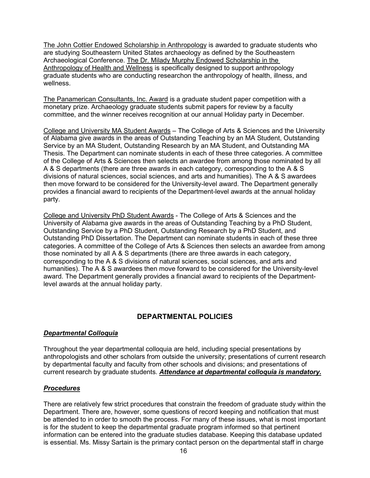The John Cottier Endowed Scholarship in Anthropology is awarded to graduate students who are studying Southeastern United States archaeology as defined by the Southeastern Archaeological Conference. The Dr. Milady Murphy Endowed Scholarship in the Anthropology of Health and Wellness is specifically designed to support anthropology graduate students who are conducting researchon the anthropology of health, illness, and wellness.

The Panamerican Consultants, Inc. Award is a graduate student paper competition with a monetary prize. Archaeology graduate students submit papers for review by a faculty committee, and the winner receives recognition at our annual Holiday party in December.

College and University MA Student Awards – The College of Arts & Sciences and the University of Alabama give awards in the areas of Outstanding Teaching by an MA Student, Outstanding Service by an MA Student, Outstanding Research by an MA Student, and Outstanding MA Thesis. The Department can nominate students in each of these three categories. A committee of the College of Arts & Sciences then selects an awardee from among those nominated by all A & S departments (there are three awards in each category, corresponding to the A & S divisions of natural sciences, social sciences, and arts and humanities). The A & S awardees then move forward to be considered for the University-level award. The Department generally provides a financial award to recipients of the Department-level awards at the annual holiday party.

College and University PhD Student Awards - The College of Arts & Sciences and the University of Alabama give awards in the areas of Outstanding Teaching by a PhD Student, Outstanding Service by a PhD Student, Outstanding Research by a PhD Student, and Outstanding PhD Dissertation. The Department can nominate students in each of these three categories. A committee of the College of Arts & Sciences then selects an awardee from among those nominated by all A & S departments (there are three awards in each category, corresponding to the A & S divisions of natural sciences, social sciences, and arts and humanities). The A & S awardees then move forward to be considered for the University-level award. The Department generally provides a financial award to recipients of the Departmentlevel awards at the annual holiday party.

# **DEPARTMENTAL POLICIES**

#### *Departmental Colloquia*

Throughout the year departmental colloquia are held, including special presentations by anthropologists and other scholars from outside the university; presentations of current research by departmental faculty and faculty from other schools and divisions; and presentations of current research by graduate students. *Attendance at departmental colloquia is mandatory.*

#### *Procedures*

There are relatively few strict procedures that constrain the freedom of graduate study within the Department. There are, however, some questions of record keeping and notification that must be attended to in order to smooth the process. For many of these issues, what is most important is for the student to keep the departmental graduate program informed so that pertinent information can be entered into the graduate studies database. Keeping this database updated is essential. Ms. Missy Sartain is the primary contact person on the departmental staff in charge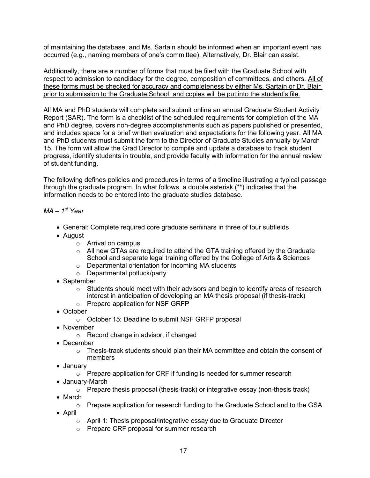of maintaining the database, and Ms. Sartain should be informed when an important event has occurred (e.g., naming members of one's committee). Alternatively, Dr. Blair can assist.

Additionally, there are a number of forms that must be filed with the Graduate School with respect to admission to candidacy for the degree, composition of committees, and others. All of these forms must be checked for accuracy and completeness by either Ms. Sartain or Dr. Blair prior to submission to the Graduate School, and copies will be put into the student's file.

All MA and PhD students will complete and submit online an annual Graduate Student Activity Report (SAR). The form is a checklist of the scheduled requirements for completion of the MA and PhD degree, covers non-degree accomplishments such as papers published or presented, and includes space for a brief written evaluation and expectations for the following year. All MA and PhD students must submit the form to the Director of Graduate Studies annually by March 15. The form will allow the Grad Director to compile and update a database to track student progress, identify students in trouble, and provide faculty with information for the annual review of student funding.

The following defines policies and procedures in terms of a timeline illustrating a typical passage through the graduate program. In what follows, a double asterisk (\*\*) indicates that the information needs to be entered into the graduate studies database.

#### *MA – 1st Year*

- General: Complete required core graduate seminars in three of four subfields
- August
	- o Arrival on campus
	- $\circ$  All new GTAs are required to attend the GTA training offered by the Graduate School and separate legal training offered by the College of Arts & Sciences
	- o Departmental orientation for incoming MA students
	- o Departmental potluck/party
- September
	- $\circ$  Students should meet with their advisors and begin to identify areas of research interest in anticipation of developing an MA thesis proposal (if thesis-track)
	- o Prepare application for NSF GRFP
- October
	- o October 15: Deadline to submit NSF GRFP proposal
- November
	- o Record change in advisor, if changed
- December
	- $\circ$  Thesis-track students should plan their MA committee and obtain the consent of members
- January
	- $\circ$  Prepare application for CRF if funding is needed for summer research
- January-March
	- $\circ$  Prepare thesis proposal (thesis-track) or integrative essay (non-thesis track)
- March
	- o Prepare application for research funding to the Graduate School and to the GSA
- April
	- o April 1: Thesis proposal/integrative essay due to Graduate Director
	- o Prepare CRF proposal for summer research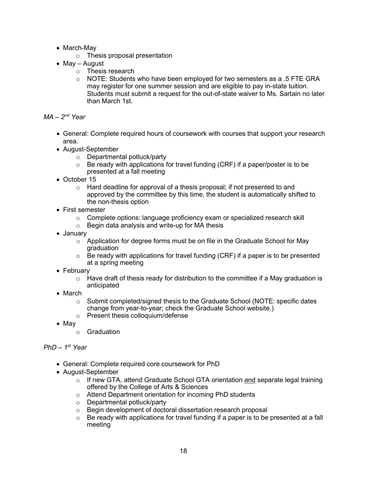- March-May
	- o Thesis proposal presentation
- May August
	- o Thesis research
	- $\circ$  NOTE: Students who have been employed for two semesters as a .5 FTE GRA may register for one summer session and are eligible to pay in-state tuition. Students must submit a request for the out-of-state waiver to Ms. Sartain no later than March 1st.

```
MA – 2nd Year
```
- General: Complete required hours of coursework with courses that support your research area.
- August-September
	- o Departmental potluck/party
	- $\circ$  Be ready with applications for travel funding (CRF) if a paper/poster is to be presented at a fall meeting
- October 15
	- $\circ$  Hard deadline for approval of a thesis proposal; if not presented to and approved by the committee by this time, the student is automatically shifted to the non-thesis option
- First semester
	- $\circ$  Complete options: language proficiency exam or specialized research skill
	- $\circ$  Begin data analysis and write-up for MA thesis
- January
	- $\circ$  Application for degree forms must be on file in the Graduate School for May graduation
	- $\circ$  Be ready with applications for travel funding (CRF) if a paper is to be presented at a spring meeting
- February
	- $\circ$  Have draft of thesis ready for distribution to the committee if a May graduation is anticipated
- March
	- $\circ$  Submit completed/signed thesis to the Graduate School (NOTE: specific dates change from year-to-year; check the Graduate School website.)
	- o Present thesis colloquium/defense
- May
	- o Graduation

#### *PhD – 1st Year*

- General: Complete required core coursework for PhD
- August-September
	- $\circ$  If new GTA, attend Graduate School GTA orientation and separate legal training offered by the College of Arts & Sciences
	- o Attend Department orientation for incoming PhD students
	- Departmental potluck/party<br>○ Begin development of docto
	- $\circ$  Begin development of doctoral dissertation research proposal<br> $\circ$  Be ready with applications for travel funding if a paper is to be
	- Be ready with applications for travel funding if a paper is to be presented at a fall meeting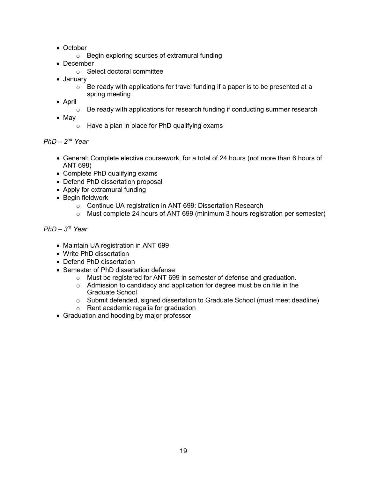- October
	- o Begin exploring sources of extramural funding
- December
	- o Select doctoral committee
- January
	- $\circ$  Be ready with applications for travel funding if a paper is to be presented at a spring meeting
- April
	- o Be ready with applications for research funding if conducting summer research
- May
	- o Have a plan in place for PhD qualifying exams

*PhD – 2nd Year*

- General: Complete elective coursework, for a total of 24 hours (not more than 6 hours of ANT 698)
- Complete PhD qualifying exams
- Defend PhD dissertation proposal
- Apply for extramural funding
- Begin fieldwork
	- o Continue UA registration in ANT 699: Dissertation Research
	- $\circ$  Must complete 24 hours of ANT 699 (minimum 3 hours registration per semester)

# *PhD – 3rd Year*

- Maintain UA registration in ANT 699
- Write PhD dissertation
- Defend PhD dissertation
- Semester of PhD dissertation defense
	- o Must be registered for ANT 699 in semester of defense and graduation.
	- o Admission to candidacy and application for degree must be on file in the Graduate School
	- $\circ$  Submit defended, signed dissertation to Graduate School (must meet deadline)
	- o Rent academic regalia for graduation
- Graduation and hooding by major professor